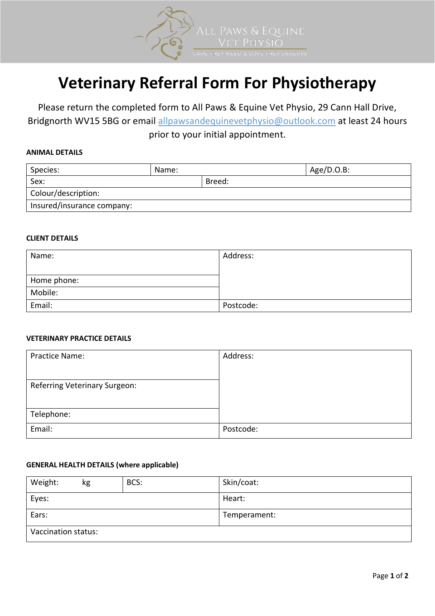

# **Veterinary Referral Form For Physiotherapy**

Please return the completed form to All Paws & Equine Vet Physio, 29 Cann Hall Drive, Bridgnorth WV15 5BG or email allpawsandequinevetphysio@outlook.com at least 24 hours prior to your initial appointment.

## **ANIMAL DETAILS**

| Species:                   | Name: | $Age/D.O.B$ : |  |  |
|----------------------------|-------|---------------|--|--|
| Sex:                       |       | Breed:        |  |  |
| Colour/description:        |       |               |  |  |
| Insured/insurance company: |       |               |  |  |

### **CLIENT DETAILS**

| Name:       | Address:  |
|-------------|-----------|
|             |           |
| Home phone: |           |
| Mobile:     |           |
| Email:      | Postcode: |

### **VETERINARY PRACTICE DETAILS**

| <b>Practice Name:</b>         | Address:  |
|-------------------------------|-----------|
|                               |           |
| Referring Veterinary Surgeon: |           |
|                               |           |
| Telephone:                    |           |
| Email:                        | Postcode: |

### **GENERAL HEALTH DETAILS (where applicable)**

| Weight:             | kg | BCS: | Skin/coat:   |
|---------------------|----|------|--------------|
| Eyes:               |    |      | Heart:       |
| Ears:               |    |      | Temperament: |
| Vaccination status: |    |      |              |